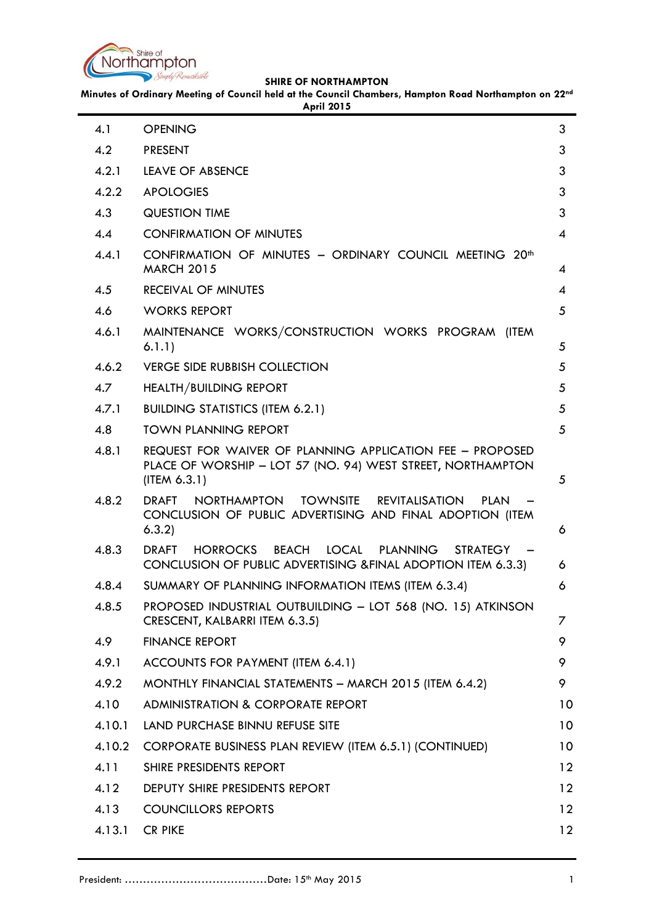

**Minutes of Ordinary Meeting of Council held at the Council Chambers, Hampton Road Northampton on 22nd**

|        | <b>April 2015</b>                                                                                                                                  |                 |
|--------|----------------------------------------------------------------------------------------------------------------------------------------------------|-----------------|
| 4.1    | <b>OPENING</b>                                                                                                                                     | 3               |
| 4.2    | <b>PRESENT</b>                                                                                                                                     | 3               |
| 4.2.1  | LEAVE OF ABSENCE                                                                                                                                   | 3               |
| 4.2.2  | <b>APOLOGIES</b>                                                                                                                                   | 3               |
| 4.3    | <b>QUESTION TIME</b>                                                                                                                               | 3               |
| 4.4    | <b>CONFIRMATION OF MINUTES</b>                                                                                                                     | 4               |
| 4.4.1  | CONFIRMATION OF MINUTES - ORDINARY COUNCIL MEETING 20th<br><b>MARCH 2015</b>                                                                       | 4               |
| 4.5    | <b>RECEIVAL OF MINUTES</b>                                                                                                                         | 4               |
| 4.6    | <b>WORKS REPORT</b>                                                                                                                                | 5               |
| 4.6.1  | MAINTENANCE WORKS/CONSTRUCTION WORKS PROGRAM (ITEM<br>6.1.1)                                                                                       | 5               |
| 4.6.2  | <b>VERGE SIDE RUBBISH COLLECTION</b>                                                                                                               | 5               |
| 4.7    | <b>HEALTH/BUILDING REPORT</b>                                                                                                                      | 5               |
| 4.7.1  | <b>BUILDING STATISTICS (ITEM 6.2.1)</b>                                                                                                            | 5               |
| 4.8    | <b>TOWN PLANNING REPORT</b>                                                                                                                        | 5               |
| 4.8.1  | REQUEST FOR WAIVER OF PLANNING APPLICATION FEE - PROPOSED<br>PLACE OF WORSHIP - LOT 57 (NO. 94) WEST STREET, NORTHAMPTON<br>(ITER 6.3.1)           | 5               |
| 4.8.2  | NORTHAMPTON TOWNSITE<br><b>REVITALISATION</b><br><b>PLAN</b><br><b>DRAFT</b><br>CONCLUSION OF PUBLIC ADVERTISING AND FINAL ADOPTION (ITEM<br>6.3.2 | 6               |
| 4.8.3  | HORROCKS<br>BEACH<br>LOCAL PLANNING<br><b>STRATEGY</b><br><b>DRAFT</b><br>CONCLUSION OF PUBLIC ADVERTISING & FINAL ADOPTION ITEM 6.3.3)            | 6               |
| 4.8.4  | SUMMARY OF PLANNING INFORMATION ITEMS (ITEM 6.3.4)                                                                                                 | 6               |
| 4.8.5  | PROPOSED INDUSTRIAL OUTBUILDING - LOT 568 (NO. 15) ATKINSON<br>CRESCENT, KALBARRI ITEM 6.3.5)                                                      | 7               |
| 4.9    | <b>FINANCE REPORT</b>                                                                                                                              | 9               |
| 4.9.1  | ACCOUNTS FOR PAYMENT (ITEM 6.4.1)                                                                                                                  | 9               |
| 4.9.2  | MONTHLY FINANCIAL STATEMENTS - MARCH 2015 (ITEM 6.4.2)                                                                                             | 9               |
| 4.10   | <b>ADMINISTRATION &amp; CORPORATE REPORT</b>                                                                                                       | 10              |
| 4.10.1 | LAND PURCHASE BINNU REFUSE SITE                                                                                                                    | 10 <sup>°</sup> |
| 4.10.2 | CORPORATE BUSINESS PLAN REVIEW (ITEM 6.5.1) (CONTINUED)                                                                                            | 10              |
| 4.11   | SHIRE PRESIDENTS REPORT                                                                                                                            | 12              |
| 4.12   | DEPUTY SHIRE PRESIDENTS REPORT                                                                                                                     | 12 <sup>°</sup> |
| 4.13   | <b>COUNCILLORS REPORTS</b>                                                                                                                         | 12 <sup>°</sup> |
| 4.13.1 | <b>CR PIKE</b>                                                                                                                                     | 12              |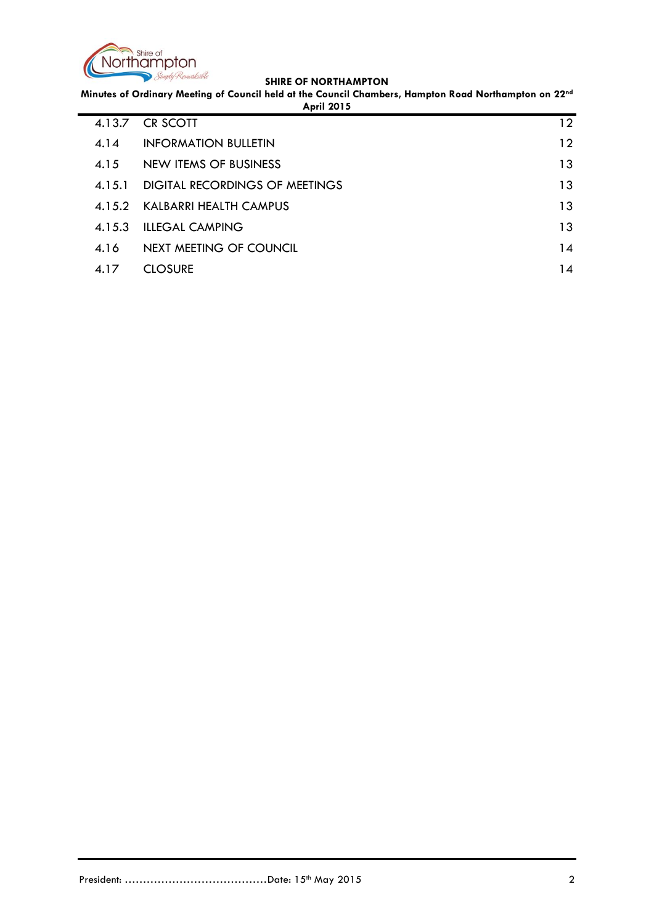

**Minutes of Ordinary Meeting of Council held at the Council Chambers, Hampton Road Northampton on 22nd**

| <b>April 2015</b> |                                |                 |  |  |
|-------------------|--------------------------------|-----------------|--|--|
| 4.13.7            | <b>CR SCOTT</b>                | $12 \,$         |  |  |
| 4.14              | <b>INFORMATION BULLETIN</b>    | $12 \ \mathrm{$ |  |  |
| 4.15              | NEW ITEMS OF BUSINESS          | 13              |  |  |
| 4.15.1            | DIGITAL RECORDINGS OF MEETINGS | 13              |  |  |
|                   | 4.15.2 KALBARRI HEALTH CAMPUS  | 13              |  |  |
| 4.15.3            | <b>ILLEGAL CAMPING</b>         | 13              |  |  |
| 4.16              | NEXT MEETING OF COUNCIL        | 14              |  |  |
| 4.17              | <b>CLOSURE</b>                 | 14              |  |  |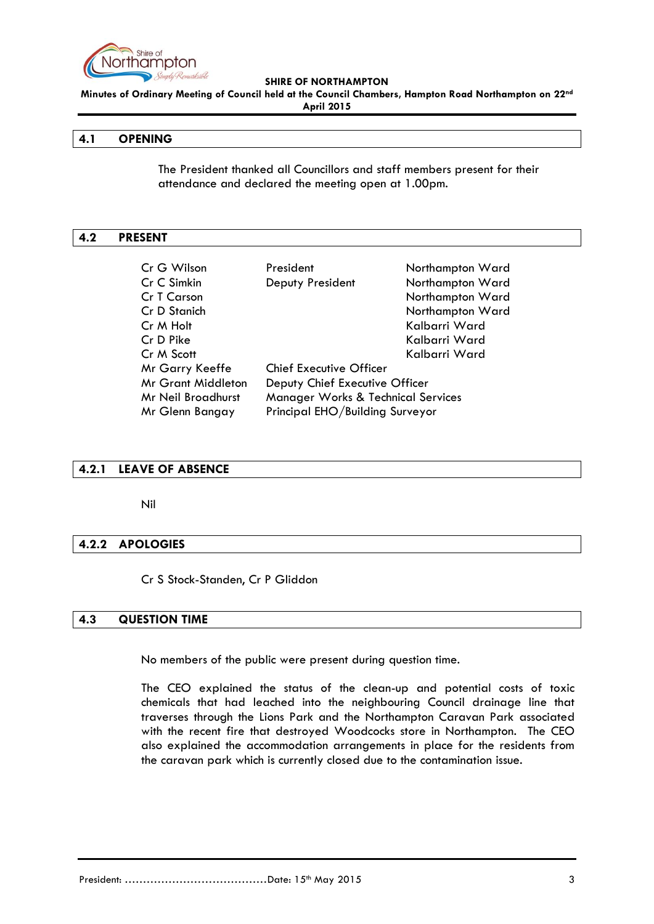

**Minutes of Ordinary Meeting of Council held at the Council Chambers, Hampton Road Northampton on 22nd April 2015**

### <span id="page-2-0"></span>**4.1 OPENING**

The President thanked all Councillors and staff members present for their attendance and declared the meeting open at 1.00pm.

#### <span id="page-2-1"></span>**4.2 PRESENT**

| Cr G Wilson               | President                                     | Northampton Ward |  |
|---------------------------|-----------------------------------------------|------------------|--|
| Cr C Simkin               | Deputy President                              | Northampton Ward |  |
| <b>Cr T Carson</b>        |                                               | Northampton Ward |  |
| Cr D Stanich              |                                               | Northampton Ward |  |
| Cr M Holt                 |                                               | Kalbarri Ward    |  |
| Cr D Pike                 |                                               | Kalbarri Ward    |  |
| Cr M Scott                |                                               | Kalbarri Ward    |  |
| Mr Garry Keeffe           | <b>Chief Executive Officer</b>                |                  |  |
| <b>Mr Grant Middleton</b> | Deputy Chief Executive Officer                |                  |  |
| Mr Neil Broadhurst        | <b>Manager Works &amp; Technical Services</b> |                  |  |
| Mr Glenn Bangay           | Principal EHO/Building Surveyor               |                  |  |

## <span id="page-2-2"></span>**4.2.1 LEAVE OF ABSENCE**

Nil

## <span id="page-2-3"></span>**4.2.2 APOLOGIES**

Cr S Stock-Standen, Cr P Gliddon

### <span id="page-2-4"></span>**4.3 QUESTION TIME**

No members of the public were present during question time.

The CEO explained the status of the clean-up and potential costs of toxic chemicals that had leached into the neighbouring Council drainage line that traverses through the Lions Park and the Northampton Caravan Park associated with the recent fire that destroyed Woodcocks store in Northampton. The CEO also explained the accommodation arrangements in place for the residents from the caravan park which is currently closed due to the contamination issue.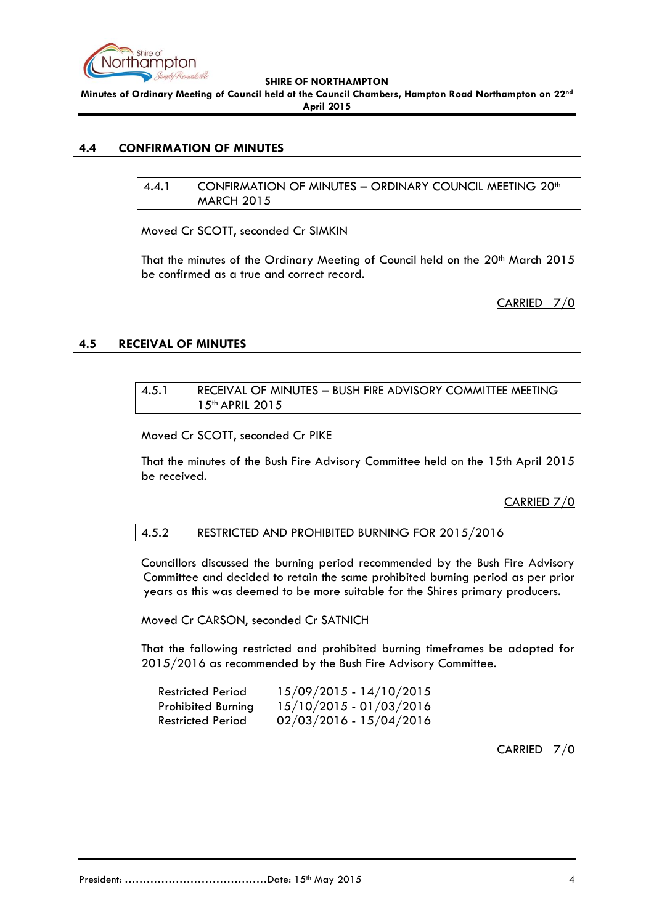

**Minutes of Ordinary Meeting of Council held at the Council Chambers, Hampton Road Northampton on 22nd April 2015**

## <span id="page-3-1"></span><span id="page-3-0"></span>**4.4 CONFIRMATION OF MINUTES**

4.4.1 CONFIRMATION OF MINUTES – ORDINARY COUNCIL MEETING 20th MARCH 2015

Moved Cr SCOTT, seconded Cr SIMKIN

That the minutes of the Ordinary Meeting of Council held on the 20<sup>th</sup> March 2015 be confirmed as a true and correct record.

CARRIED 7/0

## <span id="page-3-2"></span>**4.5 RECEIVAL OF MINUTES**

#### 4.5.1 RECEIVAL OF MINUTES – BUSH FIRE ADVISORY COMMITTEE MEETING 15th APRIL 2015

Moved Cr SCOTT, seconded Cr PIKE

That the minutes of the Bush Fire Advisory Committee held on the 15th April 2015 be received.

CARRIED 7/0

## 4.5.2 RESTRICTED AND PROHIBITED BURNING FOR 2015/2016

Councillors discussed the burning period recommended by the Bush Fire Advisory Committee and decided to retain the same prohibited burning period as per prior years as this was deemed to be more suitable for the Shires primary producers.

Moved Cr CARSON, seconded Cr SATNICH

That the following restricted and prohibited burning timeframes be adopted for 2015/2016 as recommended by the Bush Fire Advisory Committee.

| Restricted Period         | 15/09/2015 - 14/10/2015 |
|---------------------------|-------------------------|
| <b>Prohibited Burning</b> | 15/10/2015 - 01/03/2016 |
| Restricted Period         | 02/03/2016 - 15/04/2016 |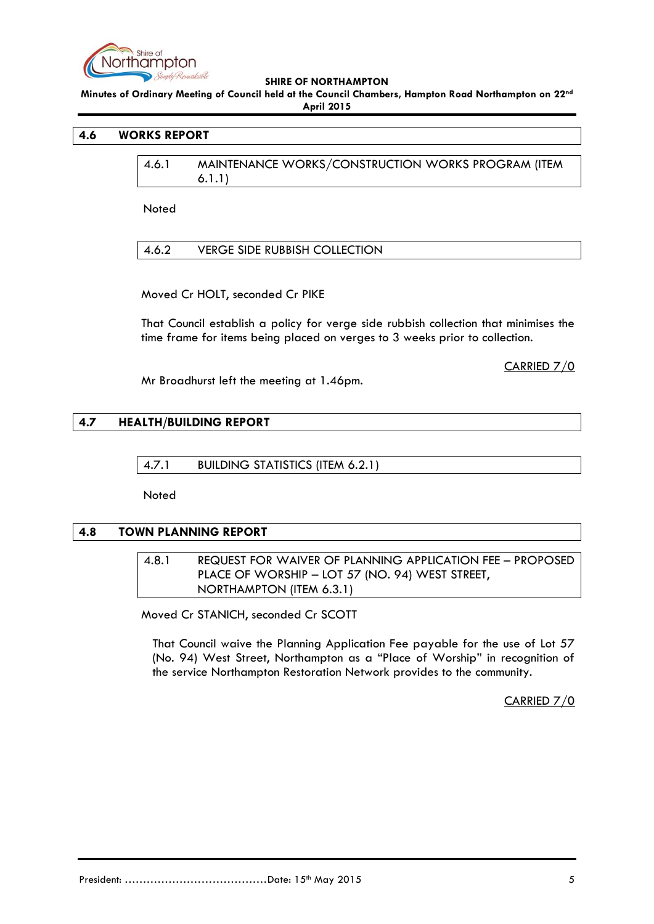

**Minutes of Ordinary Meeting of Council held at the Council Chambers, Hampton Road Northampton on 22nd April 2015**

### <span id="page-4-1"></span><span id="page-4-0"></span>**4.6 WORKS REPORT**

4.6.1 MAINTENANCE WORKS/CONSTRUCTION WORKS PROGRAM (ITEM 6.1.1)

**Noted** 

<span id="page-4-2"></span>4.6.2 VERGE SIDE RUBBISH COLLECTION

Moved Cr HOLT, seconded Cr PIKE

That Council establish a policy for verge side rubbish collection that minimises the time frame for items being placed on verges to 3 weeks prior to collection.

CARRIED 7/0

Mr Broadhurst left the meeting at 1.46pm.

#### <span id="page-4-4"></span><span id="page-4-3"></span>**4.7 HEALTH/BUILDING REPORT**

4.7.1 BUILDING STATISTICS (ITEM 6.2.1)

Noted

#### <span id="page-4-6"></span><span id="page-4-5"></span>**4.8 TOWN PLANNING REPORT**

4.8.1 REQUEST FOR WAIVER OF PLANNING APPLICATION FEE – PROPOSED PLACE OF WORSHIP – LOT 57 (NO. 94) WEST STREET, NORTHAMPTON (ITEM 6.3.1)

Moved Cr STANICH, seconded Cr SCOTT

That Council waive the Planning Application Fee payable for the use of Lot 57 (No. 94) West Street, Northampton as a "Place of Worship" in recognition of the service Northampton Restoration Network provides to the community.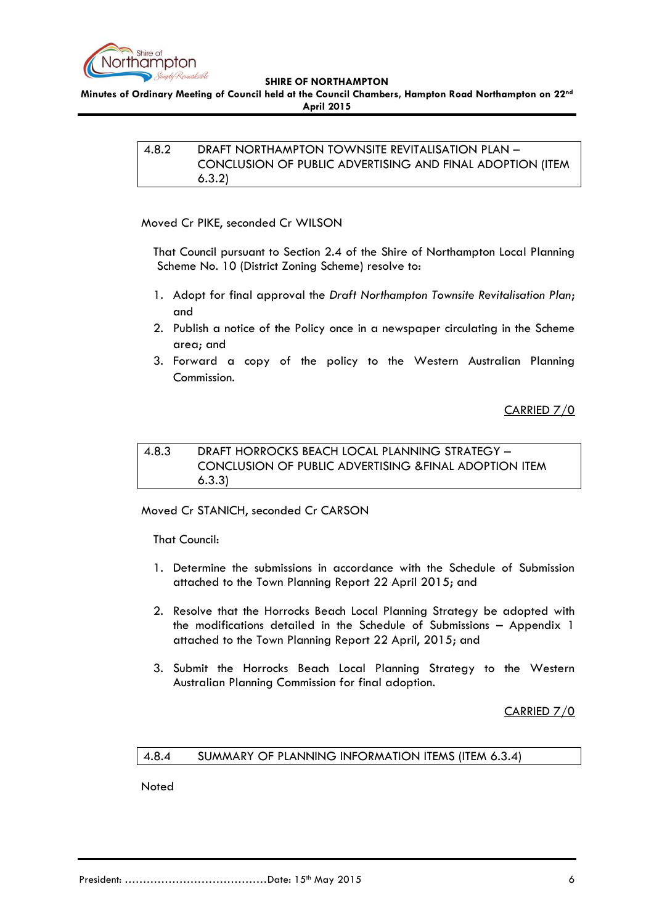

<span id="page-5-0"></span>**Minutes of Ordinary Meeting of Council held at the Council Chambers, Hampton Road Northampton on 22nd April 2015**

> 4.8.2 DRAFT NORTHAMPTON TOWNSITE REVITALISATION PLAN – CONCLUSION OF PUBLIC ADVERTISING AND FINAL ADOPTION (ITEM 6.3.2)

Moved Cr PIKE, seconded Cr WILSON

That Council pursuant to Section 2.4 of the Shire of Northampton Local Planning Scheme No. 10 (District Zoning Scheme) resolve to:

- 1. Adopt for final approval the *Draft Northampton Townsite Revitalisation Plan*; and
- 2. Publish a notice of the Policy once in a newspaper circulating in the Scheme area; and
- 3. Forward a copy of the policy to the Western Australian Planning Commission.

CARRIED 7/0

# <span id="page-5-1"></span>4.8.3 DRAFT HORROCKS BEACH LOCAL PLANNING STRATEGY – CONCLUSION OF PUBLIC ADVERTISING &FINAL ADOPTION ITEM 6.3.3)

Moved Cr STANICH, seconded Cr CARSON

That Council:

- 1. Determine the submissions in accordance with the Schedule of Submission attached to the Town Planning Report 22 April 2015; and
- 2. Resolve that the Horrocks Beach Local Planning Strategy be adopted with the modifications detailed in the Schedule of Submissions – Appendix 1 attached to the Town Planning Report 22 April, 2015; and
- 3. Submit the Horrocks Beach Local Planning Strategy to the Western Australian Planning Commission for final adoption.

CARRIED 7/0

# <span id="page-5-2"></span>4.8.4 SUMMARY OF PLANNING INFORMATION ITEMS (ITEM 6.3.4)

Noted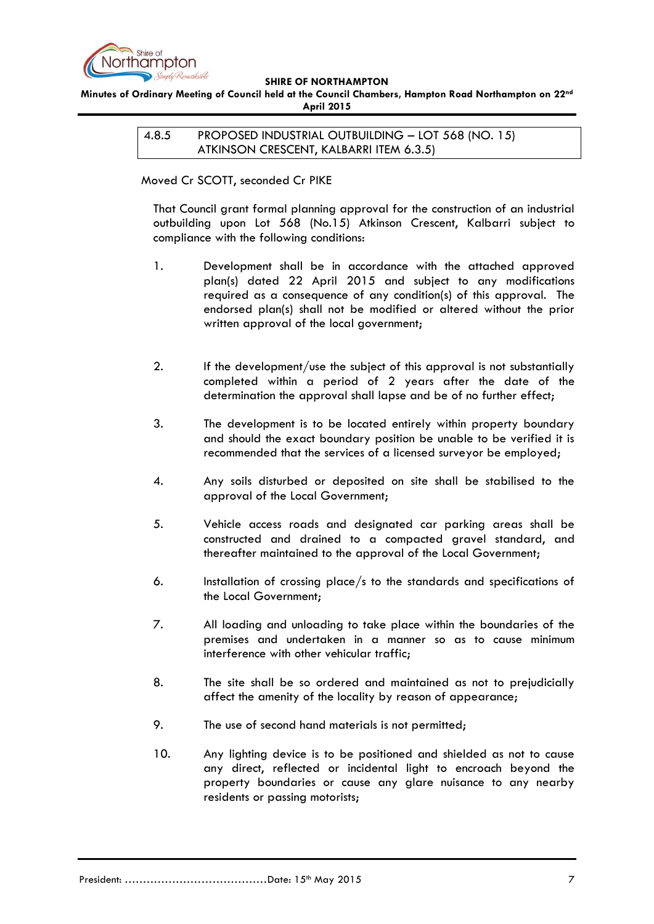

<span id="page-6-0"></span>**Minutes of Ordinary Meeting of Council held at the Council Chambers, Hampton Road Northampton on 22nd April 2015**

> 4.8.5 PROPOSED INDUSTRIAL OUTBUILDING – LOT 568 (NO. 15) ATKINSON CRESCENT, KALBARRI ITEM 6.3.5)

Moved Cr SCOTT, seconded Cr PIKE

That Council grant formal planning approval for the construction of an industrial outbuilding upon Lot 568 (No.15) Atkinson Crescent, Kalbarri subject to compliance with the following conditions:

- 1. Development shall be in accordance with the attached approved plan(s) dated 22 April 2015 and subject to any modifications required as a consequence of any condition(s) of this approval. The endorsed plan(s) shall not be modified or altered without the prior written approval of the local government;
- 2. If the development/use the subject of this approval is not substantially completed within a period of 2 years after the date of the determination the approval shall lapse and be of no further effect;
- 3. The development is to be located entirely within property boundary and should the exact boundary position be unable to be verified it is recommended that the services of a licensed surveyor be employed;
- 4. Any soils disturbed or deposited on site shall be stabilised to the approval of the Local Government;
- 5. Vehicle access roads and designated car parking areas shall be constructed and drained to a compacted gravel standard, and thereafter maintained to the approval of the Local Government;
- 6. Installation of crossing place/s to the standards and specifications of the Local Government;
- 7. All loading and unloading to take place within the boundaries of the premises and undertaken in a manner so as to cause minimum interference with other vehicular traffic;
- 8. The site shall be so ordered and maintained as not to prejudicially affect the amenity of the locality by reason of appearance;
- 9. The use of second hand materials is not permitted;
- 10. Any lighting device is to be positioned and shielded as not to cause any direct, reflected or incidental light to encroach beyond the property boundaries or cause any glare nuisance to any nearby residents or passing motorists;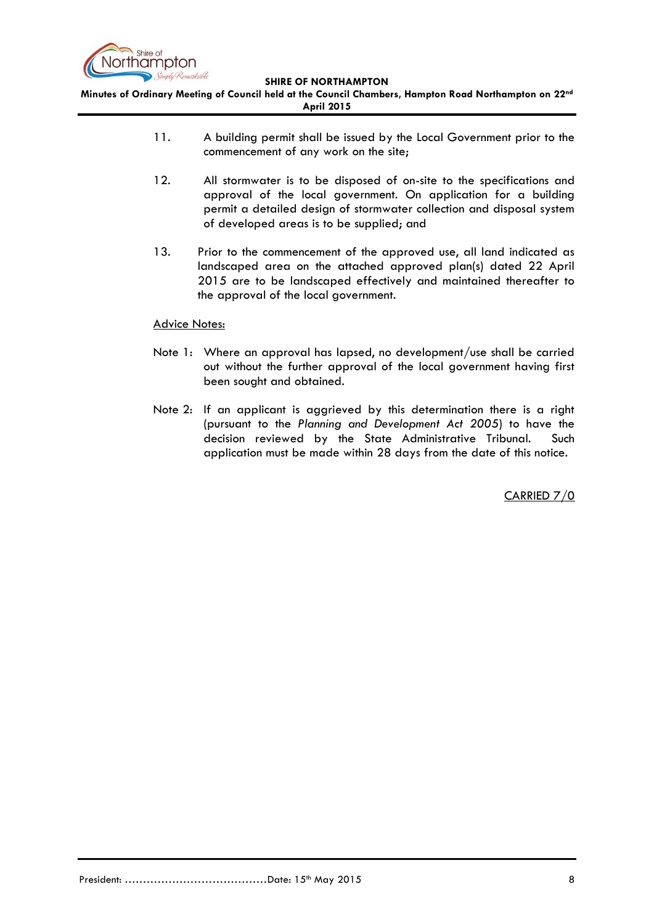

**Minutes of Ordinary Meeting of Council held at the Council Chambers, Hampton Road Northampton on 22nd April 2015**

- 11. A building permit shall be issued by the Local Government prior to the commencement of any work on the site;
- 12. All stormwater is to be disposed of on-site to the specifications and approval of the local government. On application for a building permit a detailed design of stormwater collection and disposal system of developed areas is to be supplied; and
- 13. Prior to the commencement of the approved use, all land indicated as landscaped area on the attached approved plan(s) dated 22 April 2015 are to be landscaped effectively and maintained thereafter to the approval of the local government.

# Advice Notes:

- Note 1: Where an approval has lapsed, no development/use shall be carried out without the further approval of the local government having first been sought and obtained.
- Note 2: If an applicant is aggrieved by this determination there is a right (pursuant to the *Planning and Development Act 2005*) to have the decision reviewed by the State Administrative Tribunal. Such application must be made within 28 days from the date of this notice.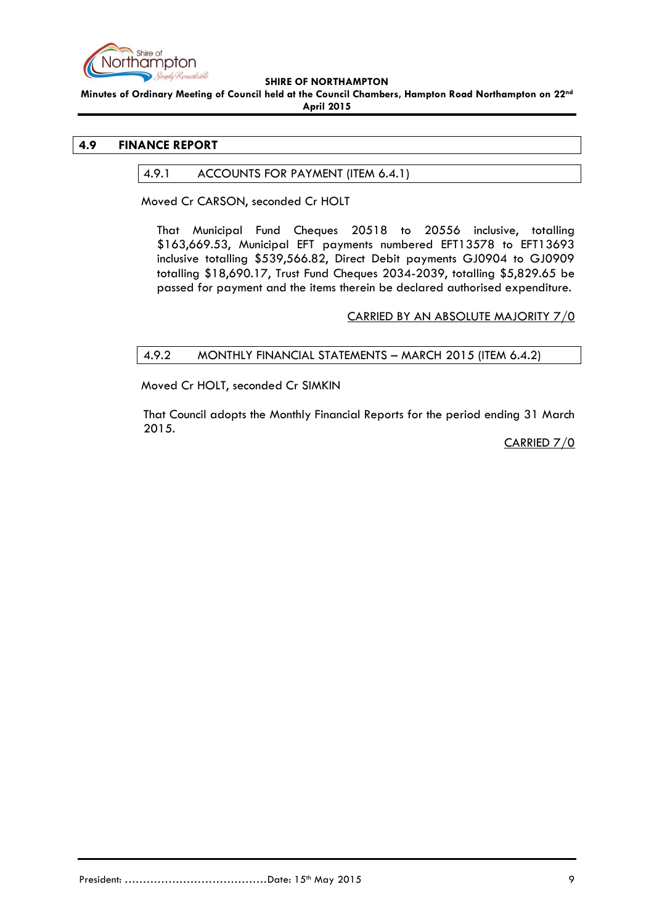

**Minutes of Ordinary Meeting of Council held at the Council Chambers, Hampton Road Northampton on 22nd April 2015**

## <span id="page-8-1"></span><span id="page-8-0"></span>**4.9 FINANCE REPORT**

# 4.9.1 ACCOUNTS FOR PAYMENT (ITEM 6.4.1)

Moved Cr CARSON, seconded Cr HOLT

That Municipal Fund Cheques 20518 to 20556 inclusive, totalling \$163,669.53, Municipal EFT payments numbered EFT13578 to EFT13693 inclusive totalling \$539,566.82, Direct Debit payments GJ0904 to GJ0909 totalling \$18,690.17, Trust Fund Cheques 2034-2039, totalling \$5,829.65 be passed for payment and the items therein be declared authorised expenditure.

CARRIED BY AN ABSOLUTE MAJORITY 7/0

# <span id="page-8-2"></span>4.9.2 MONTHLY FINANCIAL STATEMENTS – MARCH 2015 (ITEM 6.4.2)

Moved Cr HOLT, seconded Cr SIMKIN

That Council adopts the Monthly Financial Reports for the period ending 31 March 2015.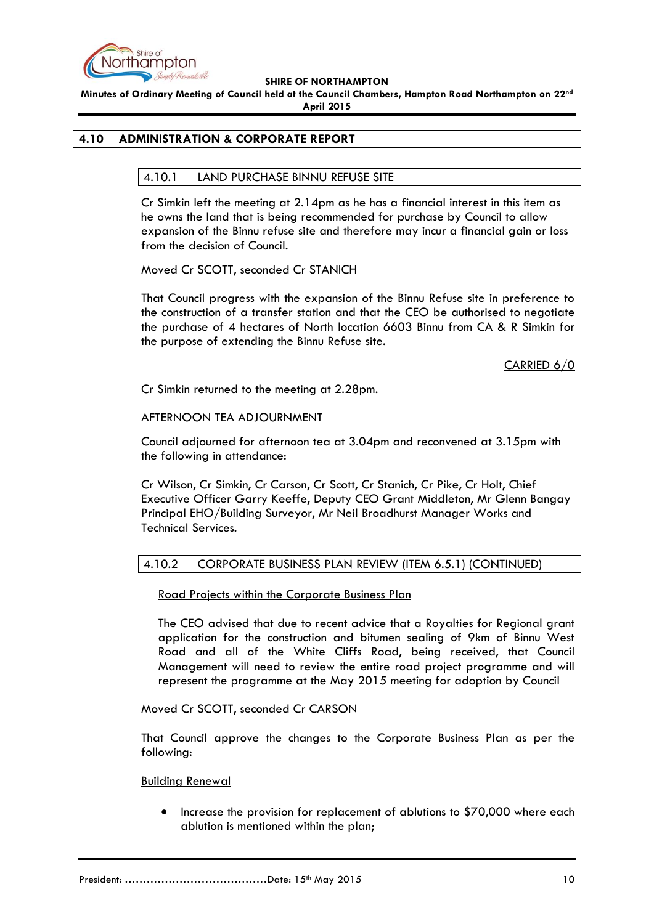

**Minutes of Ordinary Meeting of Council held at the Council Chambers, Hampton Road Northampton on 22nd April 2015**

# <span id="page-9-1"></span><span id="page-9-0"></span>**4.10 ADMINISTRATION & CORPORATE REPORT**

# 4.10.1 LAND PURCHASE BINNU REFUSE SITE

Cr Simkin left the meeting at 2.14pm as he has a financial interest in this item as he owns the land that is being recommended for purchase by Council to allow expansion of the Binnu refuse site and therefore may incur a financial gain or loss from the decision of Council.

Moved Cr SCOTT, seconded Cr STANICH

That Council progress with the expansion of the Binnu Refuse site in preference to the construction of a transfer station and that the CEO be authorised to negotiate the purchase of 4 hectares of North location 6603 Binnu from CA & R Simkin for the purpose of extending the Binnu Refuse site.

CARRIED 6/0

Cr Simkin returned to the meeting at 2.28pm.

# AFTERNOON TEA ADJOURNMENT

Council adjourned for afternoon tea at 3.04pm and reconvened at 3.15pm with the following in attendance:

Cr Wilson, Cr Simkin, Cr Carson, Cr Scott, Cr Stanich, Cr Pike, Cr Holt, Chief Executive Officer Garry Keeffe, Deputy CEO Grant Middleton, Mr Glenn Bangay Principal EHO/Building Surveyor, Mr Neil Broadhurst Manager Works and Technical Services.

# <span id="page-9-2"></span>4.10.2 CORPORATE BUSINESS PLAN REVIEW (ITEM 6.5.1) (CONTINUED)

Road Projects within the Corporate Business Plan

The CEO advised that due to recent advice that a Royalties for Regional grant application for the construction and bitumen sealing of 9km of Binnu West Road and all of the White Cliffs Road, being received, that Council Management will need to review the entire road project programme and will represent the programme at the May 2015 meeting for adoption by Council

## Moved Cr SCOTT, seconded Cr CARSON

That Council approve the changes to the Corporate Business Plan as per the following:

## Building Renewal

 Increase the provision for replacement of ablutions to \$70,000 where each ablution is mentioned within the plan;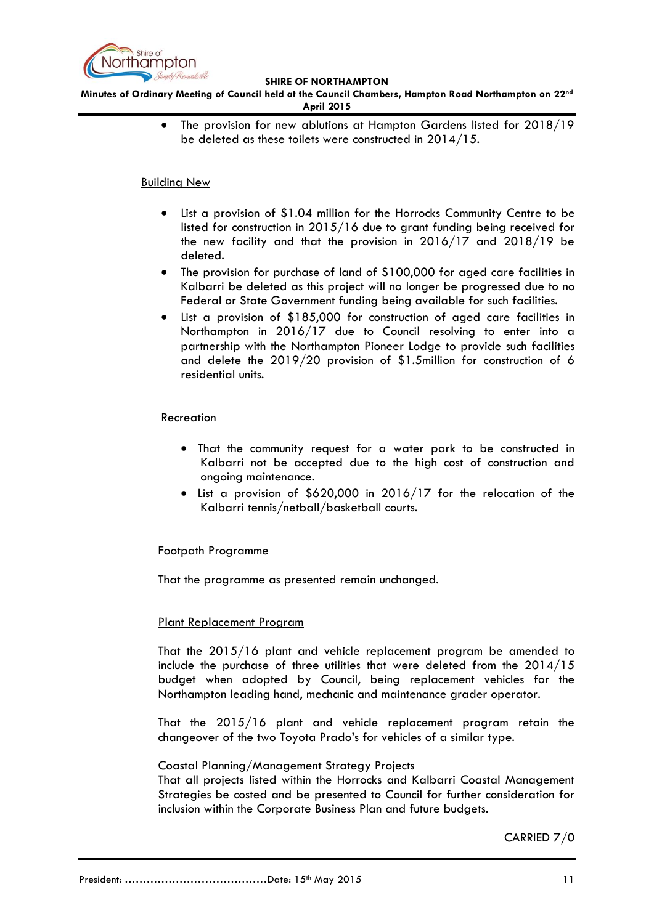

**Minutes of Ordinary Meeting of Council held at the Council Chambers, Hampton Road Northampton on 22nd April 2015**

> • The provision for new ablutions at Hampton Gardens listed for 2018/19 be deleted as these toilets were constructed in 2014/15.

## Building New

- List a provision of \$1.04 million for the Horrocks Community Centre to be listed for construction in 2015/16 due to grant funding being received for the new facility and that the provision in 2016/17 and 2018/19 be deleted.
- The provision for purchase of land of \$100,000 for aged care facilities in Kalbarri be deleted as this project will no longer be progressed due to no Federal or State Government funding being available for such facilities.
- List a provision of \$185,000 for construction of aged care facilities in Northampton in 2016/17 due to Council resolving to enter into a partnership with the Northampton Pioneer Lodge to provide such facilities and delete the 2019/20 provision of \$1.5million for construction of 6 residential units.

# Recreation

- That the community request for a water park to be constructed in Kalbarri not be accepted due to the high cost of construction and ongoing maintenance.
- List a provision of \$620,000 in 2016/17 for the relocation of the Kalbarri tennis/netball/basketball courts.

# Footpath Programme

That the programme as presented remain unchanged.

## Plant Replacement Program

That the 2015/16 plant and vehicle replacement program be amended to include the purchase of three utilities that were deleted from the 2014/15 budget when adopted by Council, being replacement vehicles for the Northampton leading hand, mechanic and maintenance grader operator.

That the 2015/16 plant and vehicle replacement program retain the changeover of the two Toyota Prado's for vehicles of a similar type.

## Coastal Planning/Management Strategy Projects

That all projects listed within the Horrocks and Kalbarri Coastal Management Strategies be costed and be presented to Council for further consideration for inclusion within the Corporate Business Plan and future budgets.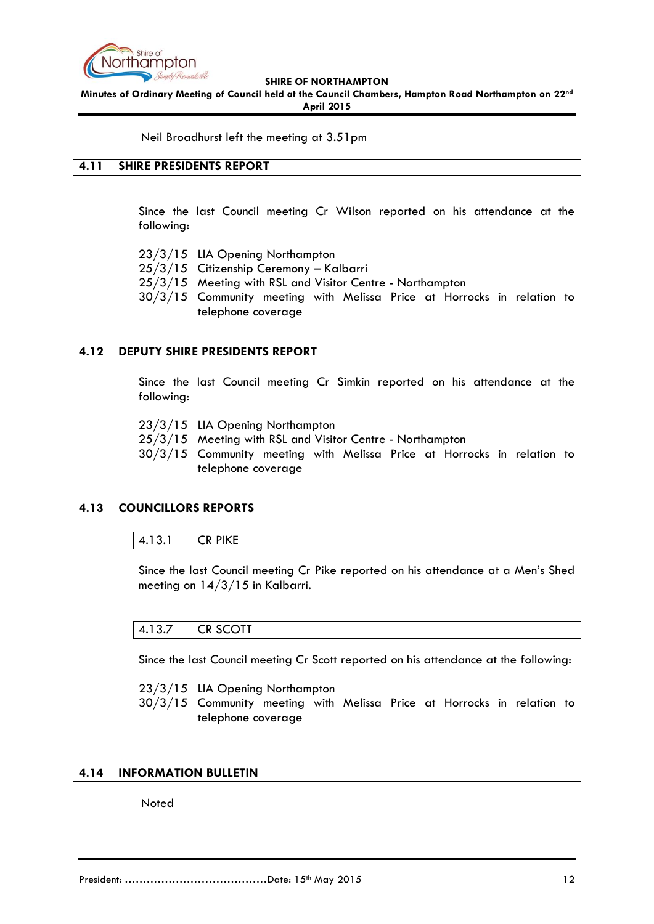

**Minutes of Ordinary Meeting of Council held at the Council Chambers, Hampton Road Northampton on 22nd April 2015**

Neil Broadhurst left the meeting at 3.51pm

# <span id="page-11-0"></span>**4.11 SHIRE PRESIDENTS REPORT**

Since the last Council meeting Cr Wilson reported on his attendance at the following:

- 23/3/15 LIA Opening Northampton
- 25/3/15 Citizenship Ceremony Kalbarri
- 25/3/15 Meeting with RSL and Visitor Centre Northampton
- 30/3/15 Community meeting with Melissa Price at Horrocks in relation to telephone coverage

#### <span id="page-11-1"></span>**4.12 DEPUTY SHIRE PRESIDENTS REPORT**

Since the last Council meeting Cr Simkin reported on his attendance at the following:

23/3/15 LIA Opening Northampton

- 25/3/15 Meeting with RSL and Visitor Centre Northampton
- 30/3/15 Community meeting with Melissa Price at Horrocks in relation to telephone coverage

## <span id="page-11-3"></span><span id="page-11-2"></span>**4.13 COUNCILLORS REPORTS**

4.13.1 CR PIKE

Since the last Council meeting Cr Pike reported on his attendance at a Men's Shed meeting on 14/3/15 in Kalbarri.

# <span id="page-11-4"></span>4.13.7 CR SCOTT

Since the last Council meeting Cr Scott reported on his attendance at the following:

23/3/15 LIA Opening Northampton

30/3/15 Community meeting with Melissa Price at Horrocks in relation to telephone coverage

## <span id="page-11-5"></span>**4.14 INFORMATION BULLETIN**

Noted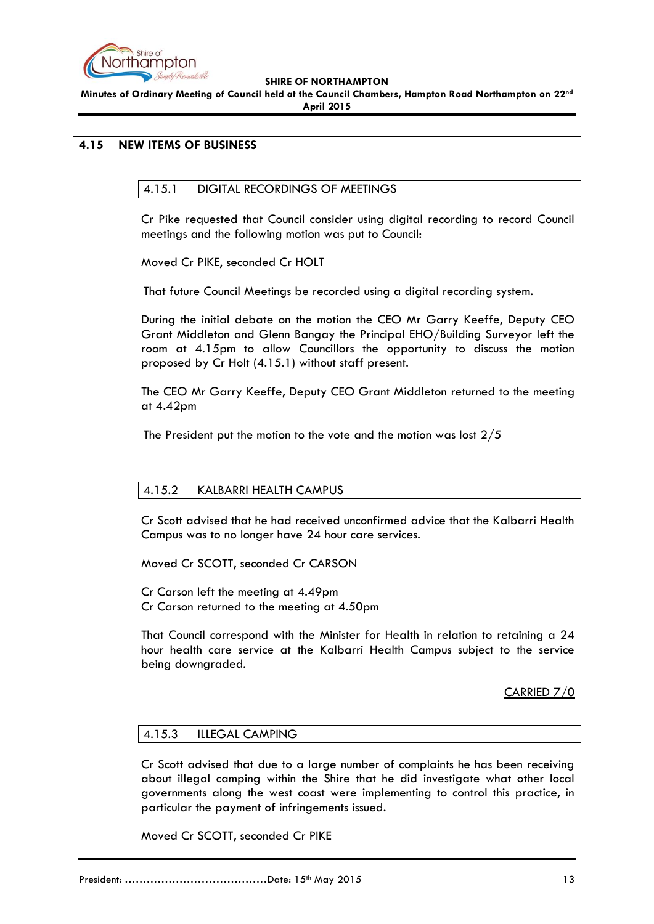

**Minutes of Ordinary Meeting of Council held at the Council Chambers, Hampton Road Northampton on 22nd April 2015**

# <span id="page-12-1"></span><span id="page-12-0"></span>**4.15 NEW ITEMS OF BUSINESS**

# 4.15.1 DIGITAL RECORDINGS OF MEETINGS

Cr Pike requested that Council consider using digital recording to record Council meetings and the following motion was put to Council:

Moved Cr PIKE, seconded Cr HOLT

That future Council Meetings be recorded using a digital recording system.

During the initial debate on the motion the CEO Mr Garry Keeffe, Deputy CEO Grant Middleton and Glenn Bangay the Principal EHO/Building Surveyor left the room at 4.15pm to allow Councillors the opportunity to discuss the motion proposed by Cr Holt (4.15.1) without staff present.

The CEO Mr Garry Keeffe, Deputy CEO Grant Middleton returned to the meeting at 4.42pm

The President put the motion to the vote and the motion was lost 2/5

# <span id="page-12-2"></span>4.15.2 KALBARRI HEALTH CAMPUS

Cr Scott advised that he had received unconfirmed advice that the Kalbarri Health Campus was to no longer have 24 hour care services.

Moved Cr SCOTT, seconded Cr CARSON

Cr Carson left the meeting at 4.49pm Cr Carson returned to the meeting at 4.50pm

That Council correspond with the Minister for Health in relation to retaining a 24 hour health care service at the Kalbarri Health Campus subject to the service being downgraded.

CARRIED 7/0

## <span id="page-12-3"></span>4.15.3 ILLEGAL CAMPING

Cr Scott advised that due to a large number of complaints he has been receiving about illegal camping within the Shire that he did investigate what other local governments along the west coast were implementing to control this practice, in particular the payment of infringements issued.

Moved Cr SCOTT, seconded Cr PIKE